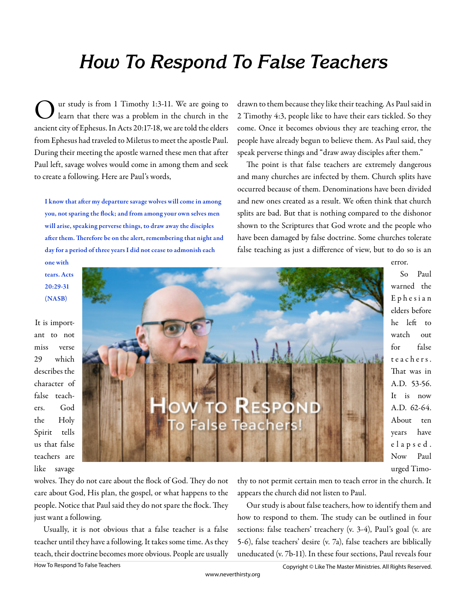# **How To Respond To False Teachers**

O ur study is from 1 Timothy 1:3-11. We are going to learn that there was a problem in the church in the ancient city of Ephesus. In Acts 20:17-18, we are told the elders from Ephesus had traveled to Miletus to meet the apostle Paul. During their meeting the apostle warned these men that after Paul left, savage wolves would come in among them and seek to create a following. Here are Paul's words,

I know that after my departure savage wolves will come in among you, not sparing the flock; and from among your own selves men will arise, speaking perverse things, to draw away the disciples after them. Therefore be on the alert, remembering that night and day for a period of three years I did not cease to admonish each

drawn to them because they like their teaching. As Paul said in 2 Timothy 4:3, people like to have their ears tickled. So they come. Once it becomes obvious they are teaching error, the people have already begun to believe them. As Paul said, they speak perverse things and "draw away disciples after them."

The point is that false teachers are extremely dangerous and many churches are infected by them. Church splits have occurred because of them. Denominations have been divided and new ones created as a result. We often think that church splits are bad. But that is nothing compared to the dishonor shown to the Scriptures that God wrote and the people who have been damaged by false doctrine. Some churches tolerate false teaching as just a difference of view, but to do so is an

## one with tears. Acts 20:29-31 (NASB)

It is important to not miss verse 29 which describes the character of false teachers. God the Holy Spirit tells us that false teachers are like savage



So Paul warned the E p h e s i a n elders before he left to watch out for false t e a c h e r s . That was in A.D. 53-56. It is now A.D. 62-64. About ten years have e l a p s e d . Now Paul urged Timo-

error.

wolves. They do not care about the flock of God. They do not care about God, His plan, the gospel, or what happens to the people. Notice that Paul said they do not spare the flock. They just want a following.

Usually, it is not obvious that a false teacher is a false teacher until they have a following. It takes some time. As they teach, their doctrine becomes more obvious. People are usually thy to not permit certain men to teach error in the church. It appears the church did not listen to Paul.

Our study is about false teachers, how to identify them and how to respond to them. The study can be outlined in four sections: false teachers' treachery (v. 3-4), Paul's goal (v. are 5-6), false teachers' desire (v. 7a), false teachers are biblically uneducated (v. 7b-11). In these four sections, Paul reveals four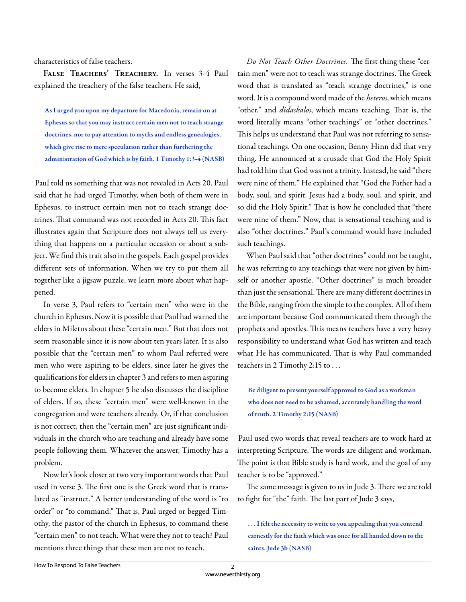characteristics of false teachers.

**False Teachers' Treachery.** In verses 3-4 Paul explained the treachery of the false teachers. He said,

As I urged you upon my departure for Macedonia, remain on at Ephesus so that you may instruct certain men not to teach strange doctrines, nor to pay attention to myths and endless genealogies, which give rise to mere speculation rather than furthering the administration of God which is by faith. 1 Timothy 1:3-4 (NASB)

Paul told us something that was not revealed in Acts 20. Paul said that he had urged Timothy, when both of them were in Ephesus, to instruct certain men not to teach strange doctrines. That command was not recorded in Acts 20. This fact illustrates again that Scripture does not always tell us everything that happens on a particular occasion or about a subject. We find this trait also in the gospels. Each gospel provides different sets of information. When we try to put them all together like a jigsaw puzzle, we learn more about what happened.

In verse 3, Paul refers to "certain men" who were in the church in Ephesus. Now it is possible that Paul had warned the elders in Miletus about these "certain men." But that does not seem reasonable since it is now about ten years later. It is also possible that the "certain men" to whom Paul referred were men who were aspiring to be elders, since later he gives the qualifications for elders in chapter 3 and refers to men aspiring to become elders. In chapter 5 he also discusses the discipline of elders. If so, these "certain men" were well-known in the congregation and were teachers already. Or, if that conclusion is not correct, then the "certain men" are just significant individuals in the church who are teaching and already have some people following them. Whatever the answer, Timothy has a problem.

Now let's look closer at two very important words that Paul used in verse 3. The first one is the Greek word that is translated as "instruct." A better understanding of the word is "to order" or "to command." That is, Paul urged or begged Timothy, the pastor of the church in Ephesus, to command these "certain men" to not teach. What were they not to teach? Paul mentions three things that these men are not to teach.

Do Not Teach Other Doctrines. The first thing these "certain men" were not to teach was strange doctrines. The Greek word that is translated as "teach strange doctrines," is one word. It is a compound word made of the *heteros*, which means "other," and *didaskalos*, which means teaching. That is, the word literally means "other teachings" or "other doctrines." This helps us understand that Paul was not referring to sensational teachings. On one occasion, Benny Hinn did that very thing. He announced at a crusade that God the Holy Spirit had told him that God was not a trinity. Instead, he said "there were nine of them." He explained that "God the Father had a body, soul, and spirit. Jesus had a body, soul, and spirit, and so did the Holy Spirit." That is how he concluded that "there were nine of them." Now, that is sensational teaching and is also "other doctrines." Paul's command would have included such teachings.

When Paul said that "other doctrines" could not be taught, he was referring to any teachings that were not given by himself or another apostle. "Other doctrines" is much broader than just the sensational. There are many different doctrines in the Bible, ranging from the simple to the complex. All of them are important because God communicated them through the prophets and apostles. This means teachers have a very heavy responsibility to understand what God has written and teach what He has communicated. That is why Paul commanded teachers in 2 Timothy 2:15 to . . .

Be diligent to present yourself approved to God as a workman who does not need to be ashamed, accurately handling the word of truth. 2 Timothy 2:15 (NASB)

Paul used two words that reveal teachers are to work hard at interpreting Scripture. The words are diligent and workman. The point is that Bible study is hard work, and the goal of any teacher is to be "approved."

The same message is given to us in Jude 3. There we are told to fight for "the" faith. The last part of Jude 3 says,

. . . I felt the necessity to write to you appealing that you contend earnestly for the faith which was once for all handed down to the saints. Jude 3b (NASB)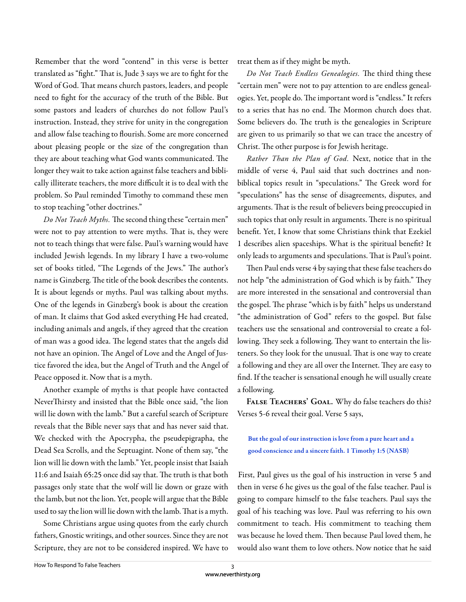Remember that the word "contend" in this verse is better translated as "fight." That is, Jude 3 says we are to fight for the Word of God. That means church pastors, leaders, and people need to fight for the accuracy of the truth of the Bible. But some pastors and leaders of churches do not follow Paul's instruction. Instead, they strive for unity in the congregation and allow false teaching to flourish. Some are more concerned about pleasing people or the size of the congregation than they are about teaching what God wants communicated. The longer they wait to take action against false teachers and biblically illiterate teachers, the more difficult it is to deal with the problem. So Paul reminded Timothy to command these men to stop teaching "other doctrines."

*Do Not Teach Myths.* The second thing these "certain men" were not to pay attention to were myths. That is, they were not to teach things that were false. Paul's warning would have included Jewish legends. In my library I have a two-volume set of books titled, "The Legends of the Jews." The author's name is Ginzberg. The title of the book describes the contents. It is about legends or myths. Paul was talking about myths. One of the legends in Ginzberg's book is about the creation of man. It claims that God asked everything He had created, including animals and angels, if they agreed that the creation of man was a good idea. The legend states that the angels did not have an opinion. The Angel of Love and the Angel of Justice favored the idea, but the Angel of Truth and the Angel of Peace opposed it. Now that is a myth.

Another example of myths is that people have contacted NeverThirsty and insisted that the Bible once said, "the lion will lie down with the lamb." But a careful search of Scripture reveals that the Bible never says that and has never said that. We checked with the Apocrypha, the pseudepigrapha, the Dead Sea Scrolls, and the Septuagint. None of them say, "the lion will lie down with the lamb." Yet, people insist that Isaiah 11:6 and Isaiah 65:25 once did say that. The truth is that both passages only state that the wolf will lie down or graze with the lamb, but not the lion. Yet, people will argue that the Bible used to say the lion will lie down with the lamb. That is a myth.

Some Christians argue using quotes from the early church fathers, Gnostic writings, and other sources. Since they are not Scripture, they are not to be considered inspired. We have to treat them as if they might be myth.

Do Not Teach Endless Genealogies. The third thing these "certain men" were not to pay attention to are endless genealogies. Yet, people do. The important word is "endless." It refers to a series that has no end. The Mormon church does that. Some believers do. The truth is the genealogies in Scripture are given to us primarily so that we can trace the ancestry of Christ. The other purpose is for Jewish heritage.

*Rather Than the Plan of God.* Next, notice that in the middle of verse 4, Paul said that such doctrines and nonbiblical topics result in "speculations." The Greek word for "speculations" has the sense of disagreements, disputes, and arguments. That is the result of believers being preoccupied in such topics that only result in arguments. There is no spiritual benefit. Yet, I know that some Christians think that Ezekiel 1 describes alien spaceships. What is the spiritual benefit? It only leads to arguments and speculations. That is Paul's point.

Then Paul ends verse 4 by saying that these false teachers do not help "the administration of God which is by faith." They are more interested in the sensational and controversial than the gospel. The phrase "which is by faith" helps us understand "the administration of God" refers to the gospel. But false teachers use the sensational and controversial to create a following. They seek a following. They want to entertain the listeners. So they look for the unusual. That is one way to create a following and they are all over the Internet. They are easy to find. If the teacher is sensational enough he will usually create a following.

FALSE TEACHERS' GOAL. Why do false teachers do this? Verses 5-6 reveal their goal. Verse 5 says,

#### But the goal of our instruction is love from a pure heart and a good conscience and a sincere faith. 1 Timothy 1:5 (NASB)

First, Paul gives us the goal of his instruction in verse 5 and then in verse 6 he gives us the goal of the false teacher. Paul is going to compare himself to the false teachers. Paul says the goal of his teaching was love. Paul was referring to his own commitment to teach. His commitment to teaching them was because he loved them. Then because Paul loved them, he would also want them to love others. Now notice that he said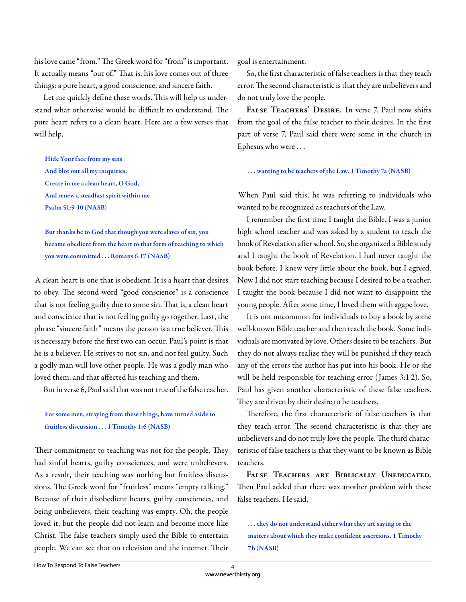his love came "from." The Greek word for "from" is important. It actually means "out of." That is, his love comes out of three things: a pure heart, a good conscience, and sincere faith.

Let me quickly define these words. This will help us understand what otherwise would be difficult to understand. The pure heart refers to a clean heart. Here are a few verses that will help,

Hide Your face from my sins And blot out all my iniquities. Create in me a clean heart, O God, And renew a steadfast spirit within me. Psalm 51:9-10 (NASB)

But thanks be to God that though you were slaves of sin, you became obedient from the heart to that form of teaching to which you were committed . . . Romans 6:17 (NASB)

A clean heart is one that is obedient. It is a heart that desires to obey. The second word "good conscience" is a conscience that is not feeling guilty due to some sin. That is, a clean heart and conscience that is not feeling guilty go together. Last, the phrase "sincere faith" means the person is a true believer. This is necessary before the first two can occur. Paul's point is that he is a believer. He strives to not sin, and not feel guilty. Such a godly man will love other people. He was a godly man who loved them, and that affected his teaching and them.

But in verse 6, Paul said that was not true of the false teacher.

#### For some men, straying from these things, have turned aside to fruitless discussion . . . 1 Timothy 1:6 (NASB)

Their commitment to teaching was not for the people. They had sinful hearts, guilty consciences, and were unbelievers. As a result, their teaching was nothing but fruitless discussions. The Greek word for "fruitless" means "empty talking." Because of their disobedient hearts, guilty consciences, and being unbelievers, their teaching was empty. Oh, the people loved it, but the people did not learn and become more like Christ. The false teachers simply used the Bible to entertain people. We can see that on television and the internet. Their goal is entertainment.

So, the first characteristic of false teachers is that they teach error. The second characteristic is that they are unbelievers and do not truly love the people.

FALSE TEACHERS' DESIRE. In verse 7, Paul now shifts from the goal of the false teacher to their desires. In the first part of verse 7, Paul said there were some in the church in Ephesus who were . . .

. . . wanting to be teachers of the Law. 1 Timothy 7a (NASB)

When Paul said this, he was referring to individuals who wanted to be recognized as teachers of the Law.

I remember the first time I taught the Bible. I was a junior high school teacher and was asked by a student to teach the book of Revelation after school. So, she organized a Bible study and I taught the book of Revelation. I had never taught the book before. I knew very little about the book, but I agreed. Now I did not start teaching because I desired to be a teacher. I taught the book because I did not want to disappoint the young people. After some time, I loved them with agape love.

It is not uncommon for individuals to buy a book by some well-known Bible teacher and then teach the book. Some individuals are motivated by love. Others desire to be teachers. But they do not always realize they will be punished if they teach any of the errors the author has put into his book. He or she will be held responsible for teaching error (James 3:1-2). So, Paul has given another characteristic of these false teachers. They are driven by their desire to be teachers.

Therefore, the first characteristic of false teachers is that they teach error. The second characteristic is that they are unbelievers and do not truly love the people. The third characteristic of false teachers is that they want to be known as Bible teachers.

**False Teachers are Biblically Uneducated.**  Then Paul added that there was another problem with these false teachers. He said,

. . . they do not understand either what they are saying or the matters about which they make confident assertions. 1 Timothy 7b (NASB)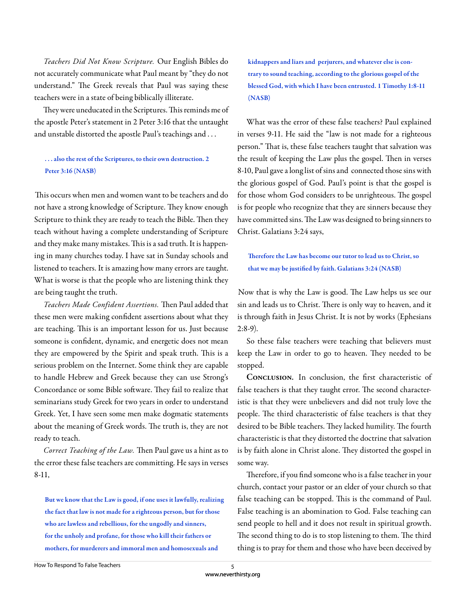*Teachers Did Not Know Scripture.* Our English Bibles do not accurately communicate what Paul meant by "they do not understand." The Greek reveals that Paul was saying these teachers were in a state of being biblically illiterate.

They were uneducated in the Scriptures. This reminds me of the apostle Peter's statement in 2 Peter 3:16 that the untaught and unstable distorted the apostle Paul's teachings and . . .

#### . . . also the rest of the Scriptures, to their own destruction. 2 Peter 3:16 (NASB)

This occurs when men and women want to be teachers and do not have a strong knowledge of Scripture. They know enough Scripture to think they are ready to teach the Bible. Then they teach without having a complete understanding of Scripture and they make many mistakes. This is a sad truth. It is happening in many churches today. I have sat in Sunday schools and listened to teachers. It is amazing how many errors are taught. What is worse is that the people who are listening think they are being taught the truth.

Teachers Made Confident Assertions. Then Paul added that these men were making confident assertions about what they are teaching. This is an important lesson for us. Just because someone is confident, dynamic, and energetic does not mean they are empowered by the Spirit and speak truth. This is a serious problem on the Internet. Some think they are capable to handle Hebrew and Greek because they can use Strong's Concordance or some Bible software. They fail to realize that seminarians study Greek for two years in order to understand Greek. Yet, I have seen some men make dogmatic statements about the meaning of Greek words. The truth is, they are not ready to teach.

*Correct Teaching of the Law*. Then Paul gave us a hint as to the error these false teachers are committing. He says in verses 8-11,

But we know that the Law is good, if one uses it lawfully, realizing the fact that law is not made for a righteous person, but for those who are lawless and rebellious, for the ungodly and sinners, for the unholy and profane, for those who kill their fathers or mothers, for murderers and immoral men and homosexuals and

kidnappers and liars and perjurers, and whatever else is contrary to sound teaching, according to the glorious gospel of the blessed God, with which I have been entrusted. 1 Timothy 1:8-11 (NASB)

What was the error of these false teachers? Paul explained in verses 9-11. He said the "law is not made for a righteous person." That is, these false teachers taught that salvation was the result of keeping the Law plus the gospel. Then in verses 8-10, Paul gave a long list of sins and connected those sins with the glorious gospel of God. Paul's point is that the gospel is for those whom God considers to be unrighteous. The gospel is for people who recognize that they are sinners because they have committed sins. The Law was designed to bring sinners to Christ. Galatians 3:24 says,

### Therefore the Law has become our tutor to lead us to Christ, so that we may be justified by faith. Galatians 3:24 (NASB)

Now that is why the Law is good. The Law helps us see our sin and leads us to Christ. There is only way to heaven, and it is through faith in Jesus Christ. It is not by works (Ephesians  $2:8-9$ ).

So these false teachers were teaching that believers must keep the Law in order to go to heaven. They needed to be stopped.

CONCLUSION. In conclusion, the first characteristic of false teachers is that they taught error. The second characteristic is that they were unbelievers and did not truly love the people. The third characteristic of false teachers is that they desired to be Bible teachers. They lacked humility. The fourth characteristic is that they distorted the doctrine that salvation is by faith alone in Christ alone. They distorted the gospel in some way.

Therefore, if you find someone who is a false teacher in your church, contact your pastor or an elder of your church so that false teaching can be stopped. This is the command of Paul. False teaching is an abomination to God. False teaching can send people to hell and it does not result in spiritual growth. The second thing to do is to stop listening to them. The third thing is to pray for them and those who have been deceived by